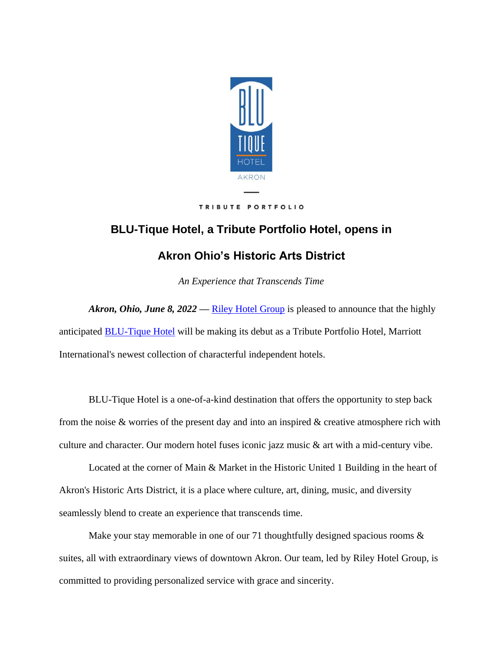

#### TRIBUTE PORTFOLIO

# **BLU-Tique Hotel, a Tribute Portfolio Hotel, opens in**

# **Akron Ohio's Historic Arts District**

*An Experience that Transcends Time*

*Akron, Ohio, June 8, 2022* — <u>[Riley Hotel Group](https://www.rileyhotelgroup.com/)</u> is pleased to announce that the highly anticipated [BLU-Tique Hotel](https://www.blu-tique.com/) will be making its debut as a Tribute Portfolio Hotel, Marriott International's newest collection of characterful independent hotels.

BLU-Tique Hotel is a one-of-a-kind destination that offers the opportunity to step back from the noise & worries of the present day and into an inspired & creative atmosphere rich with culture and character. Our modern hotel fuses iconic jazz music & art with a mid-century vibe.

Located at the corner of Main & Market in the Historic United 1 Building in the heart of Akron's Historic Arts District, it is a place where culture, art, dining, music, and diversity seamlessly blend to create an experience that transcends time.

Make your stay memorable in one of our 71 thoughtfully designed spacious rooms  $\&$ suites, all with extraordinary views of downtown Akron. Our team, led by Riley Hotel Group, is committed to providing personalized service with grace and sincerity.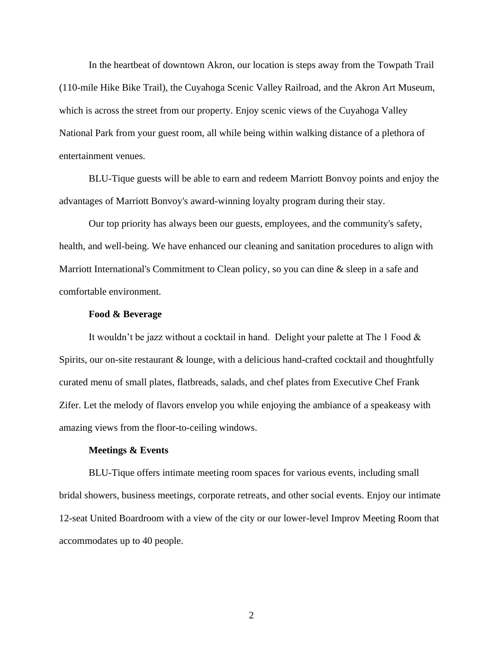In the heartbeat of downtown Akron, our location is steps away from the Towpath Trail (110-mile Hike Bike Trail), the Cuyahoga Scenic Valley Railroad, and the Akron Art Museum, which is across the street from our property. Enjoy scenic views of the Cuyahoga Valley National Park from your guest room, all while being within walking distance of a plethora of entertainment venues.

BLU-Tique guests will be able to earn and redeem Marriott Bonvoy points and enjoy the advantages of Marriott Bonvoy's award-winning loyalty program during their stay.

Our top priority has always been our guests, employees, and the community's safety, health, and well-being. We have enhanced our cleaning and sanitation procedures to align with Marriott International's Commitment to Clean policy, so you can dine & sleep in a safe and comfortable environment.

#### **Food & Beverage**

It wouldn't be jazz without a cocktail in hand. Delight your palette at The 1 Food  $\&$ Spirits, our on-site restaurant & lounge, with a delicious hand-crafted cocktail and thoughtfully curated menu of small plates, flatbreads, salads, and chef plates from Executive Chef Frank Zifer. Let the melody of flavors envelop you while enjoying the ambiance of a speakeasy with amazing views from the floor-to-ceiling windows.

#### **Meetings & Events**

BLU-Tique offers intimate meeting room spaces for various events, including small bridal showers, business meetings, corporate retreats, and other social events. Enjoy our intimate 12-seat United Boardroom with a view of the city or our lower-level Improv Meeting Room that accommodates up to 40 people.

2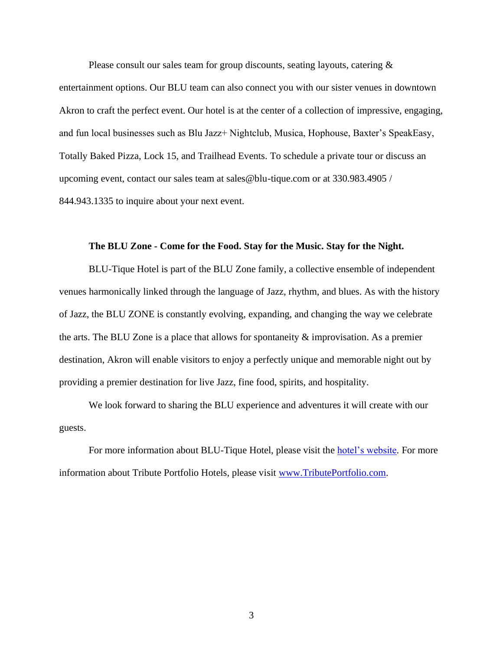Please consult our sales team for group discounts, seating layouts, catering &

entertainment options. Our BLU team can also connect you with our sister venues in downtown Akron to craft the perfect event. Our hotel is at the center of a collection of impressive, engaging, and fun local businesses such as Blu Jazz+ Nightclub, Musica, Hophouse, Baxter's SpeakEasy, Totally Baked Pizza, Lock 15, and Trailhead Events. To schedule a private tour or discuss an upcoming event, contact our sales team at sales@blu-tique.com or at 330.983.4905 / 844.943.1335 to inquire about your next event.

## **The BLU Zone - Come for the Food. Stay for the Music. Stay for the Night.**

BLU-Tique Hotel is part of the BLU Zone family, a collective ensemble of independent venues harmonically linked through the language of Jazz, rhythm, and blues. As with the history of Jazz, the BLU ZONE is constantly evolving, expanding, and changing the way we celebrate the arts. The BLU Zone is a place that allows for spontaneity  $\&$  improvisation. As a premier destination, Akron will enable visitors to enjoy a perfectly unique and memorable night out by providing a premier destination for live Jazz, fine food, spirits, and hospitality.

We look forward to sharing the BLU experience and adventures it will create with our guests.

For more information about BLU-Tique Hotel, please visit the [hotel's website.](https://www.blu-tique.com/) For more information about Tribute Portfolio Hotels, please visit [www.TributePortfolio.com.](http://www.tributeportfolio.com/)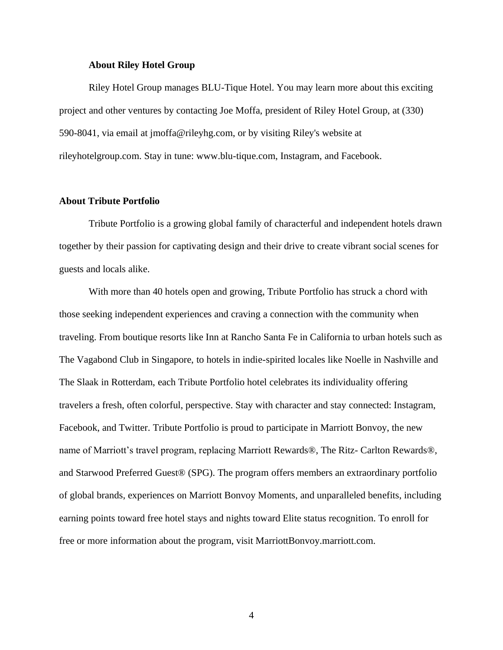#### **About Riley Hotel Group**

Riley Hotel Group manages BLU-Tique Hotel. You may learn more about this exciting project and other ventures by contacting Joe Moffa, president of Riley Hotel Group, at (330) 590-8041, via email at jmoffa@rileyhg.com, or by visiting Riley's website at rileyhotelgroup.com. Stay in tune: www.blu-tique.com, Instagram, and Facebook.

## **About Tribute Portfolio**

Tribute Portfolio is a growing global family of characterful and independent hotels drawn together by their passion for captivating design and their drive to create vibrant social scenes for guests and locals alike.

With more than 40 hotels open and growing, Tribute Portfolio has struck a chord with those seeking independent experiences and craving a connection with the community when traveling. From boutique resorts like Inn at Rancho Santa Fe in California to urban hotels such as The Vagabond Club in Singapore, to hotels in indie-spirited locales like Noelle in Nashville and The Slaak in Rotterdam, each Tribute Portfolio hotel celebrates its individuality offering travelers a fresh, often colorful, perspective. Stay with character and stay connected: Instagram, Facebook, and Twitter. Tribute Portfolio is proud to participate in Marriott Bonvoy, the new name of Marriott's travel program, replacing Marriott Rewards®, The Ritz- Carlton Rewards®, and Starwood Preferred Guest® (SPG). The program offers members an extraordinary portfolio of global brands, experiences on Marriott Bonvoy Moments, and unparalleled benefits, including earning points toward free hotel stays and nights toward Elite status recognition. To enroll for free or more information about the program, visit MarriottBonvoy.marriott.com.

4